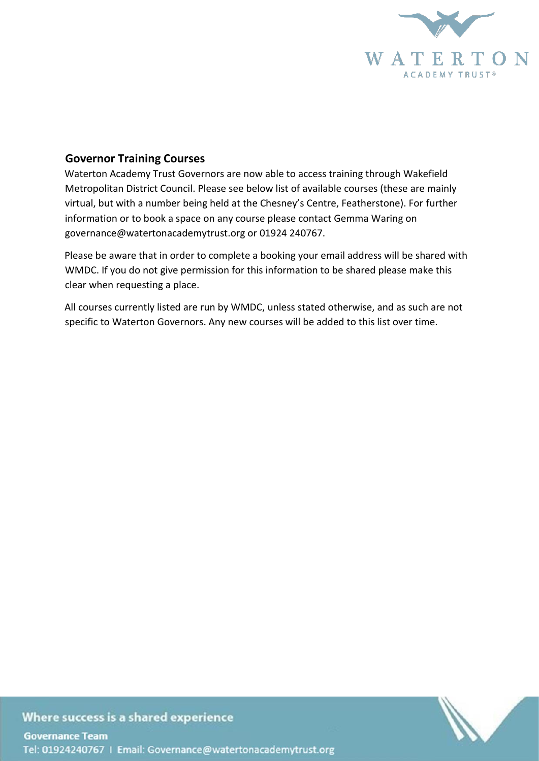

## **Governor Training Courses**

Waterton Academy Trust Governors are now able to access training through Wakefield Metropolitan District Council. Please see below list of available courses (these are mainly virtual, but with a number being held at the Chesney's Centre, Featherstone). For further information or to book a space on any course please contact Gemma Waring on governance@watertonacademytrust.org or 01924 240767.

Please be aware that in order to complete a booking your email address will be shared with WMDC. If you do not give permission for this information to be shared please make this clear when requesting a place.

All courses currently listed are run by WMDC, unless stated otherwise, and as such are not specific to Waterton Governors. Any new courses will be added to this list over time.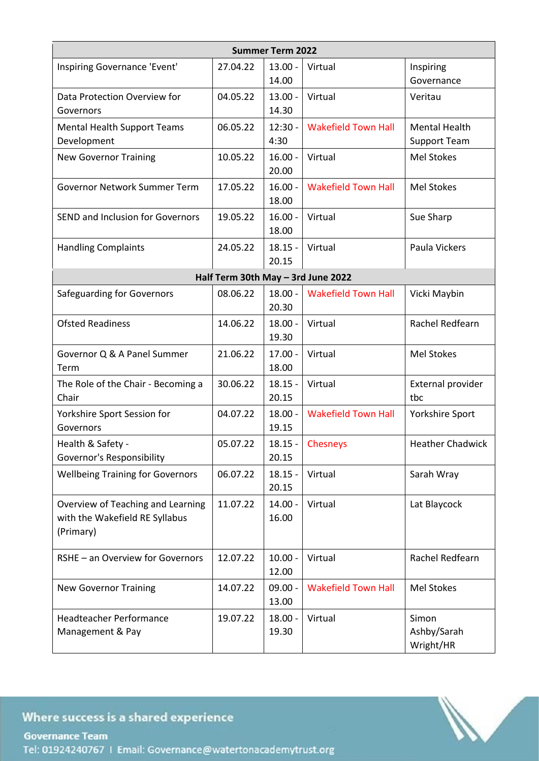| <b>Summer Term 2022</b>                                                          |                                    |                    |                            |                                             |  |  |
|----------------------------------------------------------------------------------|------------------------------------|--------------------|----------------------------|---------------------------------------------|--|--|
| Inspiring Governance 'Event'                                                     | 27.04.22                           | $13.00 -$<br>14.00 | Virtual                    | Inspiring<br>Governance                     |  |  |
| Data Protection Overview for<br>Governors                                        | 04.05.22                           | $13.00 -$<br>14.30 | Virtual                    | Veritau                                     |  |  |
| <b>Mental Health Support Teams</b><br>Development                                | 06.05.22                           | $12:30 -$<br>4:30  | <b>Wakefield Town Hall</b> | <b>Mental Health</b><br><b>Support Team</b> |  |  |
| <b>New Governor Training</b>                                                     | 10.05.22                           | $16.00 -$<br>20.00 | Virtual                    | Mel Stokes                                  |  |  |
| Governor Network Summer Term                                                     | 17.05.22                           | $16.00 -$<br>18.00 | <b>Wakefield Town Hall</b> | <b>Mel Stokes</b>                           |  |  |
| <b>SEND and Inclusion for Governors</b>                                          | 19.05.22                           | $16.00 -$<br>18.00 | Virtual                    | Sue Sharp                                   |  |  |
| <b>Handling Complaints</b>                                                       | 24.05.22                           | $18.15 -$<br>20.15 | Virtual                    | Paula Vickers                               |  |  |
|                                                                                  | Half Term 30th May - 3rd June 2022 |                    |                            |                                             |  |  |
| <b>Safeguarding for Governors</b>                                                | 08.06.22                           | $18.00 -$<br>20.30 | <b>Wakefield Town Hall</b> | Vicki Maybin                                |  |  |
| <b>Ofsted Readiness</b>                                                          | 14.06.22                           | $18.00 -$<br>19.30 | Virtual                    | Rachel Redfearn                             |  |  |
| Governor Q & A Panel Summer<br>Term                                              | 21.06.22                           | $17.00 -$<br>18.00 | Virtual                    | <b>Mel Stokes</b>                           |  |  |
| The Role of the Chair - Becoming a<br>Chair                                      | 30.06.22                           | $18.15 -$<br>20.15 | Virtual                    | External provider<br>tbc                    |  |  |
| Yorkshire Sport Session for<br>Governors                                         | 04.07.22                           | $18.00 -$<br>19.15 | <b>Wakefield Town Hall</b> | Yorkshire Sport                             |  |  |
| Health & Safety -<br>Governor's Responsibility                                   | 05.07.22                           | $18.15 -$<br>20.15 | Chesneys                   | <b>Heather Chadwick</b>                     |  |  |
| <b>Wellbeing Training for Governors</b>                                          | 06.07.22                           | $18.15 -$<br>20.15 | Virtual                    | Sarah Wray                                  |  |  |
| Overview of Teaching and Learning<br>with the Wakefield RE Syllabus<br>(Primary) | 11.07.22                           | $14.00 -$<br>16.00 | Virtual                    | Lat Blaycock                                |  |  |
| RSHE - an Overview for Governors                                                 | 12.07.22                           | $10.00 -$<br>12.00 | Virtual                    | Rachel Redfearn                             |  |  |
| <b>New Governor Training</b>                                                     | 14.07.22                           | $09.00 -$<br>13.00 | <b>Wakefield Town Hall</b> | <b>Mel Stokes</b>                           |  |  |
| <b>Headteacher Performance</b><br>Management & Pay                               | 19.07.22                           | $18.00 -$<br>19.30 | Virtual                    | Simon<br>Ashby/Sarah<br>Wright/HR           |  |  |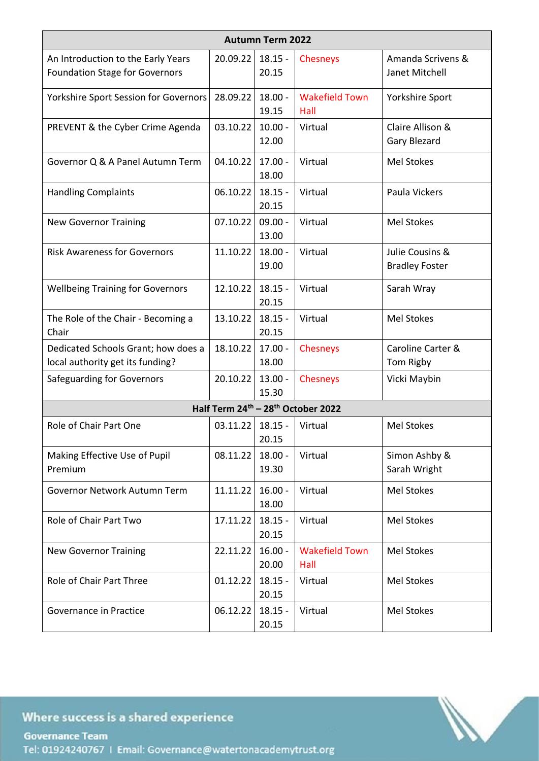| <b>Autumn Term 2022</b>                                                     |          |                    |                               |                                          |  |  |
|-----------------------------------------------------------------------------|----------|--------------------|-------------------------------|------------------------------------------|--|--|
| An Introduction to the Early Years<br><b>Foundation Stage for Governors</b> | 20.09.22 | $18.15 -$<br>20.15 | <b>Chesneys</b>               | Amanda Scrivens &<br>Janet Mitchell      |  |  |
| Yorkshire Sport Session for Governors                                       | 28.09.22 | $18.00 -$<br>19.15 | <b>Wakefield Town</b><br>Hall | Yorkshire Sport                          |  |  |
| PREVENT & the Cyber Crime Agenda                                            | 03.10.22 | $10.00 -$<br>12.00 | Virtual                       | Claire Allison &<br><b>Gary Blezard</b>  |  |  |
| Governor Q & A Panel Autumn Term                                            | 04.10.22 | $17.00 -$<br>18.00 | Virtual                       | <b>Mel Stokes</b>                        |  |  |
| <b>Handling Complaints</b>                                                  | 06.10.22 | $18.15 -$<br>20.15 | Virtual                       | Paula Vickers                            |  |  |
| <b>New Governor Training</b>                                                | 07.10.22 | $09.00 -$<br>13.00 | Virtual                       | <b>Mel Stokes</b>                        |  |  |
| <b>Risk Awareness for Governors</b>                                         | 11.10.22 | $18.00 -$<br>19.00 | Virtual                       | Julie Cousins &<br><b>Bradley Foster</b> |  |  |
| <b>Wellbeing Training for Governors</b>                                     | 12.10.22 | $18.15 -$<br>20.15 | Virtual                       | Sarah Wray                               |  |  |
| The Role of the Chair - Becoming a<br>Chair                                 | 13.10.22 | $18.15 -$<br>20.15 | Virtual                       | <b>Mel Stokes</b>                        |  |  |
| Dedicated Schools Grant; how does a<br>local authority get its funding?     | 18.10.22 | $17.00 -$<br>18.00 | Chesneys                      | Caroline Carter &<br>Tom Rigby           |  |  |
| <b>Safeguarding for Governors</b>                                           | 20.10.22 | $13.00 -$<br>15.30 | <b>Chesneys</b>               | Vicki Maybin                             |  |  |
| Half Term 24 <sup>th</sup> - 28 <sup>th</sup> October 2022                  |          |                    |                               |                                          |  |  |
| Role of Chair Part One                                                      | 03.11.22 | $18.15 -$<br>20.15 | Virtual                       | <b>Mel Stokes</b>                        |  |  |
| Making Effective Use of Pupil<br>Premium                                    | 08.11.22 | $18.00 -$<br>19.30 | Virtual                       | Simon Ashby &<br>Sarah Wright            |  |  |
| Governor Network Autumn Term                                                | 11.11.22 | $16.00 -$<br>18.00 | Virtual                       | <b>Mel Stokes</b>                        |  |  |
| Role of Chair Part Two                                                      | 17.11.22 | $18.15 -$<br>20.15 | Virtual                       | Mel Stokes                               |  |  |
| <b>New Governor Training</b>                                                | 22.11.22 | $16.00 -$<br>20.00 | <b>Wakefield Town</b><br>Hall | Mel Stokes                               |  |  |
| Role of Chair Part Three                                                    | 01.12.22 | $18.15 -$<br>20.15 | Virtual                       | Mel Stokes                               |  |  |
| Governance in Practice                                                      | 06.12.22 | $18.15 -$<br>20.15 | Virtual                       | Mel Stokes                               |  |  |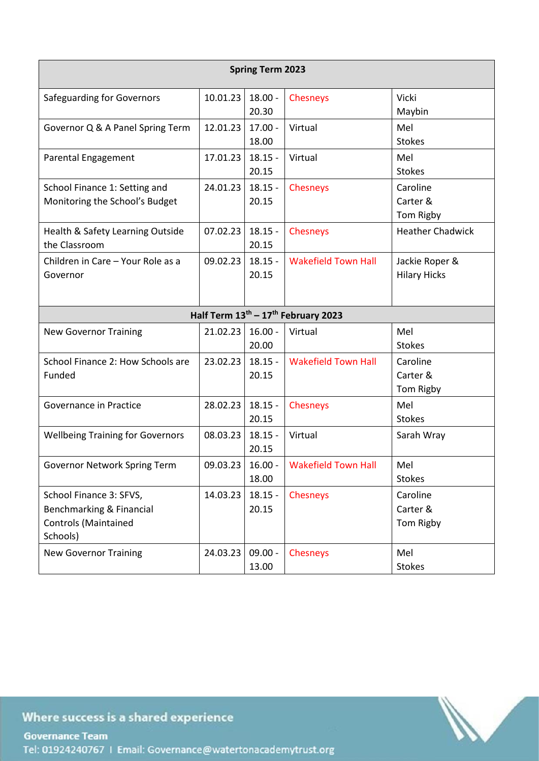| <b>Spring Term 2023</b>                                                                        |          |                    |                            |                                       |  |  |
|------------------------------------------------------------------------------------------------|----------|--------------------|----------------------------|---------------------------------------|--|--|
| Safeguarding for Governors                                                                     | 10.01.23 | $18.00 -$<br>20.30 | Chesneys                   | Vicki<br>Maybin                       |  |  |
| Governor Q & A Panel Spring Term                                                               | 12.01.23 | $17.00 -$<br>18.00 | Virtual                    | Mel<br><b>Stokes</b>                  |  |  |
| Parental Engagement                                                                            | 17.01.23 | $18.15 -$<br>20.15 | Virtual                    | Mel<br><b>Stokes</b>                  |  |  |
| School Finance 1: Setting and<br>Monitoring the School's Budget                                | 24.01.23 | $18.15 -$<br>20.15 | Chesneys                   | Caroline<br>Carter &<br>Tom Rigby     |  |  |
| Health & Safety Learning Outside<br>the Classroom                                              | 07.02.23 | $18.15 -$<br>20.15 | <b>Chesneys</b>            | <b>Heather Chadwick</b>               |  |  |
| Children in Care - Your Role as a<br>Governor                                                  | 09.02.23 | $18.15 -$<br>20.15 | <b>Wakefield Town Hall</b> | Jackie Roper &<br><b>Hilary Hicks</b> |  |  |
| Half Term 13 <sup>th</sup> - 17 <sup>th</sup> February 2023                                    |          |                    |                            |                                       |  |  |
| <b>New Governor Training</b>                                                                   | 21.02.23 | $16.00 -$<br>20.00 | Virtual                    | Mel<br><b>Stokes</b>                  |  |  |
| School Finance 2: How Schools are<br>Funded                                                    | 23.02.23 | $18.15 -$<br>20.15 | <b>Wakefield Town Hall</b> | Caroline<br>Carter &<br>Tom Rigby     |  |  |
| Governance in Practice                                                                         | 28.02.23 | $18.15 -$<br>20.15 | Chesneys                   | Mel<br><b>Stokes</b>                  |  |  |
| <b>Wellbeing Training for Governors</b>                                                        | 08.03.23 | $18.15 -$<br>20.15 | Virtual                    | Sarah Wray                            |  |  |
| Governor Network Spring Term                                                                   | 09.03.23 | $16.00 -$<br>18.00 | <b>Wakefield Town Hall</b> | Mel<br><b>Stokes</b>                  |  |  |
| School Finance 3: SFVS,<br>Benchmarking & Financial<br><b>Controls (Maintained</b><br>Schools) | 14.03.23 | $18.15 -$<br>20.15 | Chesneys                   | Caroline<br>Carter &<br>Tom Rigby     |  |  |
| <b>New Governor Training</b>                                                                   | 24.03.23 | $09.00 -$<br>13.00 | Chesneys                   | Mel<br><b>Stokes</b>                  |  |  |